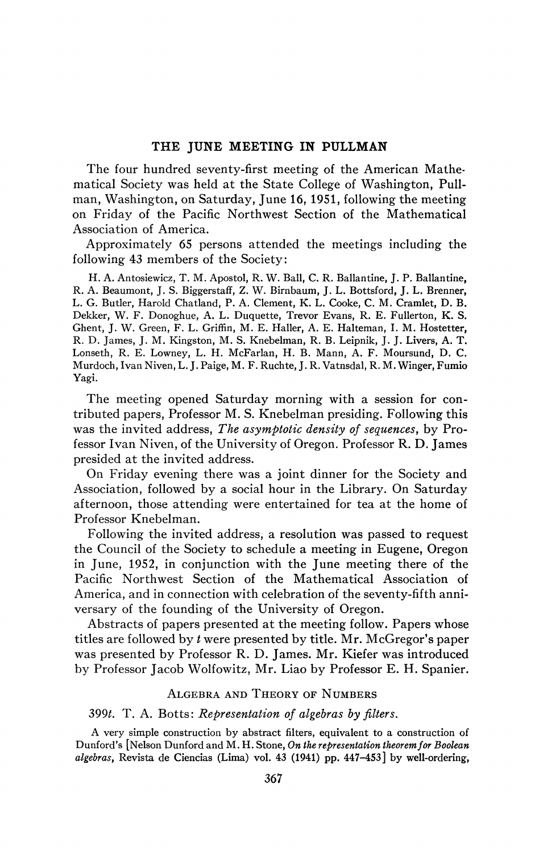### **THE JUNE MEETING IN PULLMAN**

The four hundred seventy-first meeting of the American Mathematical Society was held at the State College of Washington, Pullman, Washington, on Saturday, June 16, 1951, following the meeting on Friday of the Pacific Northwest Section of the Mathematical Association of America.

Approximately 65 persons attended the meetings including the following 43 members of the Society:

H. A. Antosiewicz, T. M. Apostol, R. W. Ball, C. R. Ballantine, J. P. Ballantine, R. A. Beaumont, J. S. Biggerstaff, Z. W. Birnbaum, J. L. Bottsford, J. L. Brenner, L. G. Butler, Harold Chatland, P. A. Clement, K. L. Cooke, C. M. Cramlet, D. B. Dekker, W. F. Donoghue, A. L. Duquette, Trevor Evans, R. E. Fullerton, K. S. Ghent, J. W. Green, F. L. Griffin, M. E. Haller, A. E. Halteman, I. M. Hostetter, R. D. James, J. M. Kingston, M. S. Knebelman, R. B. Leipnik, J. J. Livers, A. T. Lonseth, R. E. Lowney, L. H. McFarlan, H. B. Mann, A. F. Moursund, D. C. Murdoch, Ivan Niven, L. J. Paige, M. F. Ruchte, J. R. Vatnsdal, R. M. Winger, Fumio Yagi.

The meeting opened Saturday morning with a session for contributed papers, Professor M. S. Knebelman presiding. Following this was the invited address, *The asymptotic density of sequences,* by Professor Ivan Niven, of the University of Oregon. Professor R. D. James presided at the invited address.

On Friday evening there was a joint dinner for the Society and Association, followed by a social hour in the Library. On Saturday afternoon, those attending were entertained for tea at the home of Professor Knebelman.

Following the invited address, a resolution was passed to request the Council of the Society to schedule a meeting in Eugene, Oregon in June, 1952, in conjunction with the June meeting there of the Pacific Northwest Section of the Mathematical Association of America, and in connection with celebration of the seventy-fifth anniversary of the founding of the University of Oregon.

Abstracts of papers presented at the meeting follow. Papers whose titles are followed by  $t$  were presented by title. Mr. McGregor's paper was presented by Professor R. D. James. Mr. Kiefer was introduced by Professor Jacob Wolfowitz, Mr. Liao by Professor E. H. Spanier.

## ALGEBRA AND THEORY OF NUMBERS

399/. T. A. Botts: *Representation of algebras by filters,* 

A very simple construction by abstract filters, equivalent to a construction of Dunford's [Nelson Dunford and M. H. Stone, *On the representation theorem for Boolean algebras,* Revista de Ciencias (Lima) vol. 43 (1941) pp. 447-453] by well-ordering,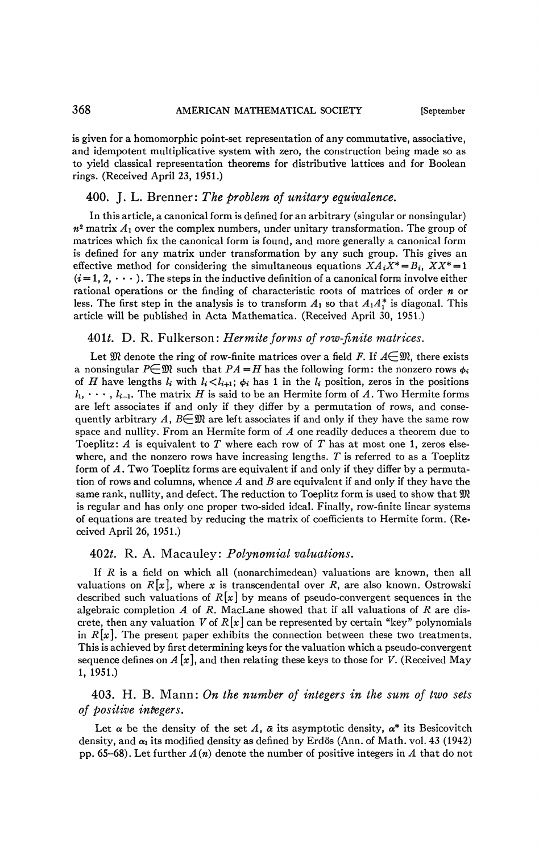is given for a homomorphic point-set representation of any commutative, associative, and idempotent multiplicative system with zero, the construction being made so as to yield classical representation theorems for distributive lattices and for Boolean rings. (Received April 23, 1051.)

### 400. J. L. Brenner: *The problem of unitary equivalence.*

In this article, a canonical form is defined for an arbitrary (singular or nonsingular)  $n<sup>2</sup>$  matrix  $A<sub>1</sub>$  over the complex numbers, under unitary transformation. The group of matrices which fix the canonical form is found, and more generally a canonical form is defined for any matrix under transformation by any such group. This gives an effective method for considering the simultaneous equations  $XA_iX^* = B_i$ ,  $XX^* = 1$  $(i=1, 2, \dots)$ . The steps in the inductive definition of a canonical form involve either rational operations or the finding of characteristic roots of matrices of order *n* or less. The first step in the analysis is to transform  $A_1$  so that  $A_1A_1^*$  is diagonal. This article will be published in Acta Mathematica. (Received April 30, 1951.)

### 401t. D. R. Fulkerson: *Hermite forms of row-finite matrices*.

Let  $\mathfrak M$  denote the ring of row-finite matrices over a field F. If  $A\mathfrak{\subset} \mathfrak M$ , there exists a nonsingular  $P\subseteq \mathfrak{M}$  such that  $PA = H$  has the following form: the nonzero rows  $\phi_i$ of *H* have lengths  $l_i$  with  $l_i < l_{i+1}$ ;  $\phi_i$  has 1 in the  $l_i$  position, zeros in the positions  $h_1, \dots, h_{i-1}$ . The matrix *H* is said to be an Hermite form of *A*. Two Hermite forms are left associates if and only if they differ by a permutation of rows, and consequently arbitrary A,  $B\in\mathfrak{M}$  are left associates if and only if they have the same row space and nullity. From an Hermite form of *A* one readily deduces a theorem due to Toeplitz:  $A$  is equivalent to  $T$  where each row of  $T$  has at most one 1, zeros elsewhere, and the nonzero rows have increasing lengths. *T* is referred to as a Toeplitz form of *A*. Two Toeplitz forms are equivalent if and only if they differ by a permutation of rows and columns, whence *A* and *B* are equivalent if and only if they have the same rank, nullity, and defect. The reduction to Toeplitz form is used to show that  $\mathfrak{M}$ is regular and has only one proper two-sided ideal. Finally, row-finite linear systems of equations are treated by reducing the matrix of coefficients to Hermite form. (Received April 26, 1951.)

### 402t. R. A. Macauley: Polynomial valuations.

If *R* is a field on which all (nonarchimedean) valuations are known, then all valuations on  $R[x]$ , where x is transcendental over R, are also known. Ostrowski described such valuations of  $R[x]$  by means of pseudo-convergent sequences in the algebraic completion *A* of *R.* MacLane showed that if all valuations of *R* are discrete, then any valuation *V* of  $R[x]$  can be represented by certain "key" polynomials in  $R[x]$ . The present paper exhibits the connection between these two treatments. This is achieved by first determining keys for the valuation which a pseudo-convergent sequence defines on  $A[x]$ , and then relating these keys to those for *V*. (Received May 1, 1951.)

## 403. H. B. Mann: *On the number of integers in the sum of two sets of positive integers.*

Let  $\alpha$  be the density of the set A,  $\bar{\alpha}$  its asymptotic density,  $\alpha^*$  its Besicovitch density, and  $\alpha_1$  its modified density as defined by Erdös (Ann. of Math. vol. 43 (1942) pp. 65-68). Let further *A(n)* denote the number of positive integers in *A* that do not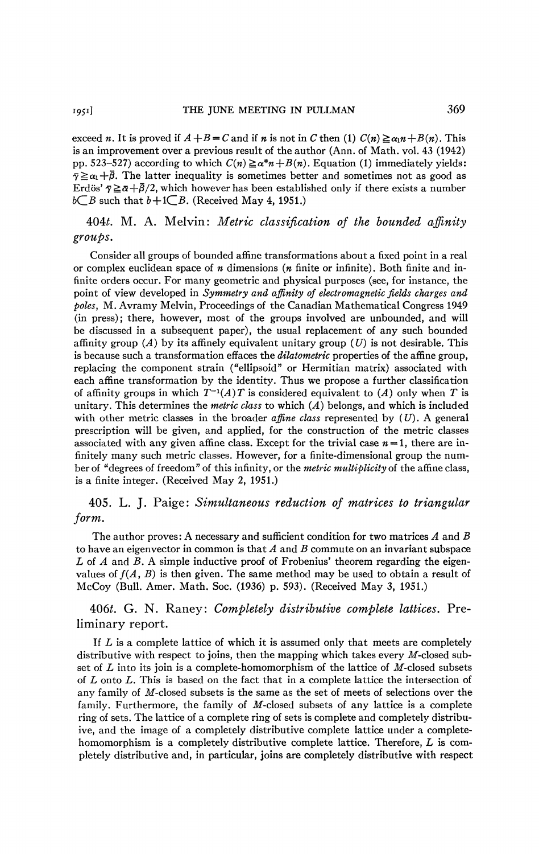exceed *n*. It is proved if  $A + B = C$  and if *n* is not in *C* then (1)  $C(n) \ge \alpha_1 n + B(n)$ . This is an improvement over a previous result of the author (Ann. of Math. vol. 43 (1942) pp. 523-527) according to which  $C(n) \ge \alpha^* n+B(n)$ . Equation (1) immediately yields:  $\gamma \ge \alpha_1 + \overline{\beta}$ . The latter inequality is sometimes better and sometimes not as good as Erdös'  $\overline{\gamma} \ge \overline{\alpha} + \overline{\beta}/2$ , which however has been established only if there exists a number  $b\overline{\smash{C}}B$  such that  $b+1\overline{\smash{C}}B$ . (Received May 4, 1951.)

404t. M. A. Melvin: *Metric classification of the bounded affinity groups.* 

Consider all groups of bounded affine transformations about a fixed point in a real or complex euclidean space of *n* dimensions *(n* finite or infinite). Both finite and infinite orders occur. For many geometric and physical purposes (see, for instance, the point of view developed in *Symmetry and affinity of electromagnetic fields charges and poles,* M. Avramy Melvin, Proceedings of the Canadian Mathematical Congress 1949 (in press); there, however, most of the groups involved are unbounded, and will be discussed in a subsequent paper), the usual replacement of any such bounded affinity group *(A)* by its affinely equivalent unitary group *(U)* is not desirable. This is because such a transformation effaces the *dilatometric* properties of the affine group, replacing the component strain ("ellipsoid" or Hermitian matrix) associated with each affine transformation by the identity. Thus we propose a further classification of affinity groups in which  $T^{-1}(A)T$  is considered equivalent to  $(A)$  only when T is unitary. This determines the *metric class* to which *(A)* belongs, and which is included with other metric classes in the broader *affine class* represented by *(U).* A general prescription will be given, and applied, for the construction of the metric classes associated with any given affine class. Except for the trivial case  $n = 1$ , there are infinitely many such metric classes. However, for a finite-dimensional group the number of "degrees of freedom" of this infinity, or the *metric multiplicity* of the affine class, is a finite integer. (Received May 2, 1951.)

405. L. J. Paige: *Simultaneous reduction of matrices to triangular form.* 

The author proves: A necessary and sufficient condition for two matrices *A* and *B*  to have an eigenvector in common is that *A* and *B* commute on an invariant subspace *L* of *A* and *B.* A simple inductive proof of Frobenius' theorem regarding the eigenvalues of  $f(A, B)$  is then given. The same method may be used to obtain a result of McCoy (Bull. Amer. Math. Soc. (1936) p. 593). (Received May 3, 1951.)

406t. G. N. Raney: *Completely distributive complete lattices*. Preliminary report.

If *L* is a complete lattice of which it is assumed only that meets are completely distributive with respect to joins, then the mapping which takes every  $M$ -closed subset of  $L$  into its join is a complete-homomorphism of the lattice of  $M$ -closed subsets of *L* onto *L.* This is based on the fact that in a complete lattice the intersection of any family of  $M$ -closed subsets is the same as the set of meets of selections over the family. Furthermore, the family of M-closed subsets of any lattice is a complete ring of sets. The lattice of a complete ring of sets is complete and completely distribuive, and the image of a completely distributive complete lattice under a completehomomorphism is a completely distributive complete lattice. Therefore, *L* is completely distributive and, in particular, joins are completely distributive with respect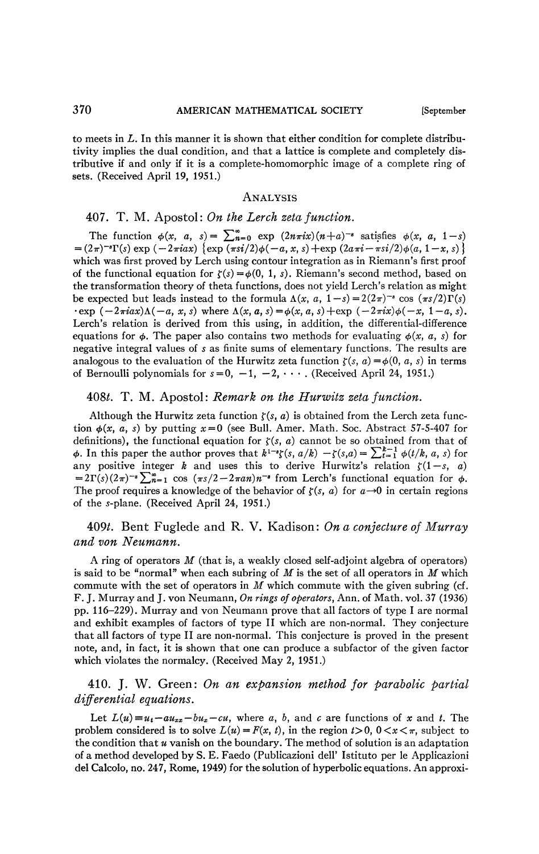to meets in *L.* In this manner it is shown that either condition for complete distributivity implies the dual condition, and that a lattice is complete and completely distributive if and only if it is a complete-homomorphic image of a complete ring of sets. (Received April 19, 1951.)

#### ANALYSIS

### 407. T. M. Apostol: *On the Lerch zeta function.*

The function  $\phi(x, a, s) = \sum_{n=0}^{\infty} \exp (2n\pi ix)(n+a)^{-s}$  satisfies  $\phi(x, a, 1-s)$  $= (2\pi)^{-s}\Gamma(s) \exp(-2\pi i a x) \{ \exp(\pi s i/2) \phi(-a, x, s) + \exp(2a\pi i - \pi s i/2) \phi(a, 1-x, s) \}$ which was first proved by Lerch using contour integration as in Riemann's first proof of the functional equation for  $\zeta(s) = \phi(0, 1, s)$ . Riemann's second method, based on the transformation theory of theta functions, does not yield Lerch's relation as might be expected but leads instead to the formula  $\Lambda(x, a, 1-s) = 2(2\pi)^{-s} \cos(\pi s/2)\Gamma(s)$  $\exp(-2\pi i a x) \Lambda(-a, x, s)$  where  $\Lambda(x, a, s) = \phi(x, a, s) + \exp(-2\pi i x) \phi(-x, 1-a, s).$ Lerch's relation is derived from this using, in addition, the differential-difference equations for  $\phi$ . The paper also contains two methods for evaluating  $\phi(x, a, s)$  for negative integral values of *s* as finite sums of elementary functions. The results are analogous to the evaluation of the Hurwitz zeta function  $f(s, a) = \phi(0, a, s)$  in terms of Bernoulli polynomials for  $s = 0, -1, -2, \cdots$ . (Received April 24, 1951.)

## 408t. T. M. Apostol: Remark on the Hurwitz zeta function.

Although the Hurwitz zeta function  $\zeta(s, a)$  is obtained from the Lerch zeta function  $\phi(x, a, s)$  by putting  $x = 0$  (see Bull. Amer. Math. Soc. Abstract 57-5-407 for definitions), the functional equation for  $\zeta(s, a)$  cannot be so obtained from that of  $\phi$ . In this paper the author proves that  $k^{1-q} \zeta(s, a/k) - \zeta(s,a) = \sum_{t=1}^{k-1} \phi(t/k, a, s)$  for any positive integer *k* and uses this to derive Hurwitz's relation  $\zeta(1-s, a)$  $=2\Gamma(s)(2\pi)^{-s}\sum_{n=1}^{\infty}$  cos  $(\pi s/2-2\pi a n)n^{-s}$  from Lerch's functional equation for  $\phi$ . The proof requires a knowledge of the behavior of  $\zeta(s, a)$  for  $a \rightarrow 0$  in certain regions of the 5-plane. (Received April 24, 1951.)

## 409t. Bent Fuglede and R. V. Kadison: On a conjecture of Murray *and von Neumann.*

*A* ring of operators *M* (that is, a weakly closed self-adjoint algebra of operators) is said to be "normal" when each subring of *M* is the set of all operators in *M* which commute with the set of operators in *M* which commute with the given subring (cf. F. J. Murray and J. von Neumann, *On rings of operators,* Ann. of Math. vol. 37 (1936) pp. 116-229). Murray and von Neumann prove that all factors of type I are normal and exhibit examples of factors of type II which are non-normal. They conjecture that all factors of type II are non-normal. This conjecture is proved in the present note, and, in fact, it is shown that one can produce a subfactor of the given factor which violates the normalcy. (Received May 2, 1951.)

## 410. J. W. Green: *On an expansion method for parabolic partial differential equations.*

Let  $L(u) = u_t - a u_{xx} - b u_x - c u$ , where a, b, and c are functions of x and t. The problem considered is to solve  $L(u) = F(x, t)$ , in the region  $t > 0$ ,  $0 < x < \pi$ , subject to the condition that *u* vanish on the boundary. The method of solution is an adaptation of a method developed by S. E. Faedo (Publicazioni dell' Istituto per le Applicazioni del Calcolo, no. 247, Rome, 1949) for the solution of hyperbolic equations. An approxi-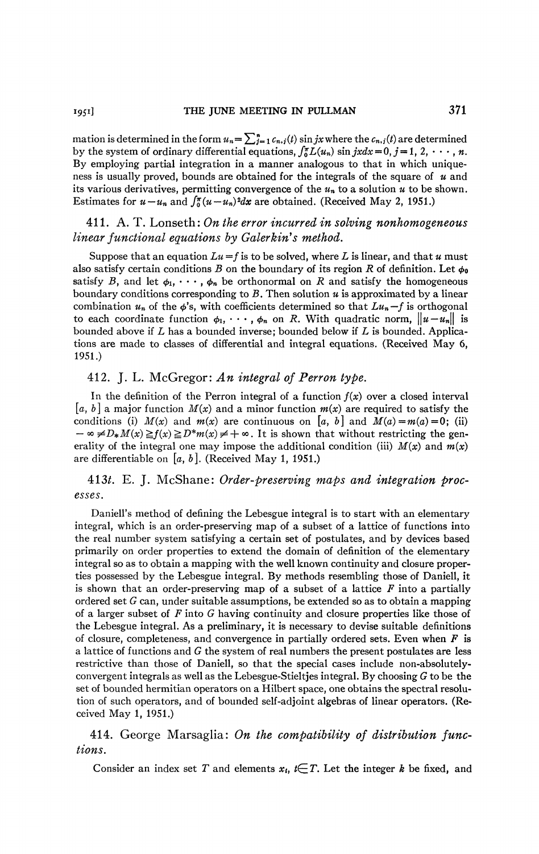mation is determined in the form  $u_n = \sum_{j=1}^n c_{n,j}(t)$  sin *jx* where the  $c_{n,j}(t)$  are determined by the system of ordinary differential equations,  $\int_0^{\pi} L(u_n) \sin jx dx = 0, j = 1, 2, \dots, n$ . By employing partial integration in a manner analogous to that in which uniqueness is usually proved, bounds are obtained for the integrals of the square of *u* and its various derivatives, permitting convergence of the *un* to a solution *u* to be shown. Estimates for  $u - u_n$  and  $\int_0^{\pi} (u - u_n)^2 dx$  are obtained. (Received May 2, 1951.)

## 411. A. T. Lonseth: *On the error incurred in solving nonhomogeneous linear functional equations by Galerkin's method.*

Suppose that an equation *Lu* =ƒ is to be solved, where *L* is linear, and that *u* must also satisfy certain conditions *B* on the boundary of its region *R* of definition. Let  $\phi_0$ satisfy *B*, and let  $\phi_1, \dots, \phi_n$  be orthonormal on *R* and satisfy the homogeneous boundary conditions corresponding to *B.* Then solution *u* is approximated by a linear combination  $u_n$  of the  $\phi$ 's, with coefficients determined so that  $Lu_n - f$  is orthogonal to each coordinate function  $\phi_1, \dots, \phi_n$  on R. With quadratic norm,  $\|u - u_n\|$  is bounded above if *L* has a bounded inverse; bounded below if *L* is bounded. Applications are made to classes of differential and integral equations. (Received May 6, 1951.)

### 412. J. L. McGregor: *An integral of Perron type.*

In the definition of the Perron integral of a function  $f(x)$  over a closed interval *[a, b]* a major function *M(x)* and a minor function *m(x)* are required to satisfy the conditions (i)  $M(x)$  and  $m(x)$  are continuous on [a, b] and  $M(a) = m(a) = 0$ ; (ii)  $-\infty \neq D_*M(x) \geq f(x) \geq D^*m(x) \neq +\infty$ . It is shown that without restricting the generality of the integral one may impose the additional condition (iii)  $M(x)$  and  $m(x)$ are differentiable on  $[a, b]$ . (Received May 1, 1951.)

## 413t. E. J. McShane: *Order-preserving maps and integration processes.*

Daniell's method of defining the Lebesgue integral is to start with an elementary integral, which is an order-preserving map of a subset of a lattice of functions into the real number system satisfying a certain set of postulates, and by devices based primarily on order properties to extend the domain of definition of the elementary integral so as to obtain a mapping with the well known continuity and closure properties possessed by the Lebesgue integral. By methods resembling those of Daniell, it is shown that an order-preserving map of a subset of a lattice *F* into a partially ordered set *G* can, under suitable assumptions, be extended so as to obtain a mapping of a larger subset of *F* into *G* having continuity and closure properties like those of the Lebesgue integral. As a preliminary, it is necessary to devise suitable definitions of closure, completeness, and convergence in partially ordered sets. Even when *F* is a lattice of functions and *G* the system of real numbers the present postulates are less restrictive than those of Daniell, so that the special cases include non-absolutelyconvergent integrals as well as the Lebesgue-Stieltjes integral. By choosing *G* to be the set of bounded hermitian operators on a Hubert space, one obtains the spectral resolution of such operators, and of bounded self-adjoint algebras of linear operators. (Received May 1, 1951.)

414. George Marsaglia: *On the compatibility of distribution functions.* 

Consider an index set T and elements  $x_t$ ,  $t \in T$ . Let the integer k be fixed, and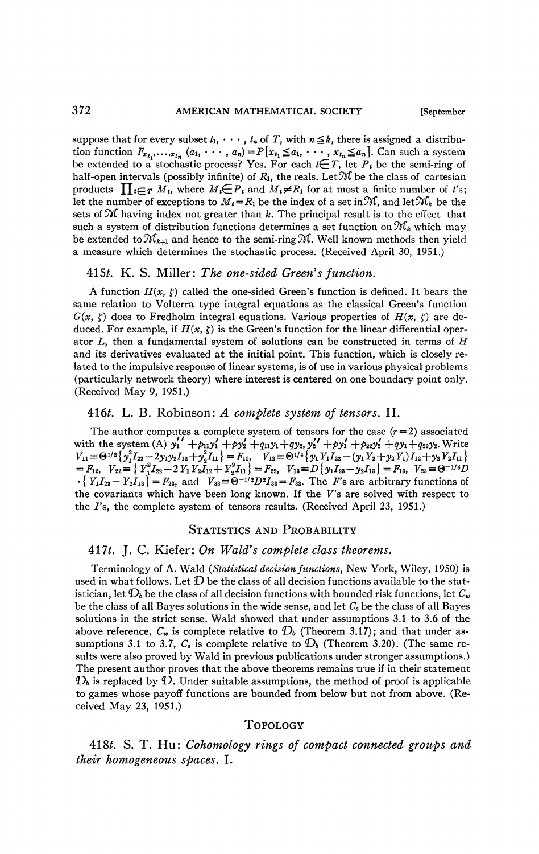suppose that for every subset  $t_1, \dots, t_n$  of T, with  $n \leq k$ , there is assigned a distribution function  $F_{x_t, \dots, x_{t_n}}(a_1, \dots, a_n) = P[x_{t_1} \leq a_1, \dots, x_{t_n} \leq a_n]$ . Can such a system be extended to a stochastic process? Yes. For each  $t \in T$ , let  $P_t$  be the semi-ring of half-open intervals (possibly infinite) of  $R_1$ , the reals. Let  $M$  be the class of cartesian products  $\prod_{i \in \mathcal{I}} M_i$ , where  $M_i \in \mathcal{P}_t$  and  $M_i \neq R_1$  for at most a finite number of *t*'s; let the number of exceptions to  $M_t = R_1$  be the index of a set in  $\mathcal{M}_t$ , and let  $\mathcal{M}_k$  be the sets of  $M$  having index not greater than  $k$ . The principal result is to the effect that such a system of distribution functions determines a set function on  $\mathcal{M}_k$  which may be extended to  $\mathcal{M}_{k+1}$  and hence to the semi-ring  $\mathcal{M}$ . Well known methods then yield a measure which determines the stochastic process. (Received April 30, 1951.)

### 415t. K. S. Miller: The one-sided Green's function.

A function  $H(x, \zeta)$  called the one-sided Green's function is defined. It bears the same relation to Volterra type integral equations as the classical Green's function  $G(x, \zeta)$  does to Fredholm integral equations. Various properties of  $H(x, \zeta)$  are deduced. For example, if  $H(x, \zeta)$  is the Green's function for the linear differential operator *L,* then a fundamental system of solutions can be constructed in terms of *H*  and its derivatives evaluated at the initial point. This function, which is closely related to the impulsive response of linear systems, is of use in various physical problems (particularly network theory) where interest is centered on one boundary point only. (Received May 9, 1951.)

#### 416t. L. B. Robinson: A complete system of tensors. II.

The author computes a complete system of tensors for the case  $\langle r=2 \rangle$  associated with the system (A)  $y_1' + p_{11}y_1' + p_{22'} + q_{11}y_1 + q_{23}y_2' + p_{31}y_1' + p_{22}y_2' + q_{31} + q_{22}y_2$ . Write  $V_{11} = \Theta^{1/2} \left\{ y_1^2 I_{22} - 2y_1 y_2 I_{12} + y_2^2 I_{11} \right\} = F_{11}$ ,  $V_{12} = \Theta^{1/4} \left\{ y_1 Y_1 I_{22} - (y_1 Y_2 + y_2 Y_1) I_{12} + y_2 Y_2 I_{11} \right\}$  $F_{12}$ ,  $V_{22} = \{ Y_1^2 I_{22} - 2 Y_1 Y_2 I_{12} + Y_2^2 I_{11} \} = F_{22}$ ,  $V_{13} = D \{ y_1 I_{23} - y_2 I_{13} \} = F_{13}$ ,  $V_{23} = \Theta^{-1/4} D$  $\cdot$  {*Y<sub>1</sub>I*<sub>23</sub> - *Y<sub>2</sub>I*<sub>13</sub>} =  $F_{23}$ , and *V*<sub>33</sub> =  $\Theta$ <sup>-1/2</sup>*D*<sup>2</sup>*I*<sub>33</sub> =  $F_{33}$ . The *F*'s are arbitrary functions of the covariants which have been long known. If the  $V$ 's are solved with respect to the  $\Gamma$ 's, the complete system of tensors results. (Received April 23, 1951.)

### STATISTICS AND PROBABILITY

# 417t. J. C. Kiefer: On Wald's complete class theorems.

Terminology of A. Wald *{Statistical decision functions,* New York, Wiley, 1950) is used in what follows. Let  $\mathcal D$  be the class of all decision functions available to the statistician, let  $\mathcal{D}_b$  be the class of all decision functions with bounded risk functions, let  $\mathcal{C}_w$ be the class of all Bayes solutions in the wide sense, and let  $C_s$  be the class of all Bayes solutions in the strict sense. Wald showed that under assumptions 3.1 to 3.6 of the above reference,  $C_w$  is complete relative to  $\mathcal{D}_b$  (Theorem 3.17); and that under assumptions 3.1 to 3.7,  $C_s$  is complete relative to  $D_b$  (Theorem 3.20). (The same results were also proved by Wald in previous publications under stronger assumptions.) The present author proves that the above theorems remains true if in their statement  $\mathcal{D}_b$  is replaced by  $\mathcal{D}$ . Under suitable assumptions, the method of proof is applicable to games whose payoff functions are bounded from below but not from above. (Received May 23, 1951.)

### TOPOLOGY

418/. S. T. Hu: *Cohomology rings of compact connected groups and their homogeneous spaces.* I.